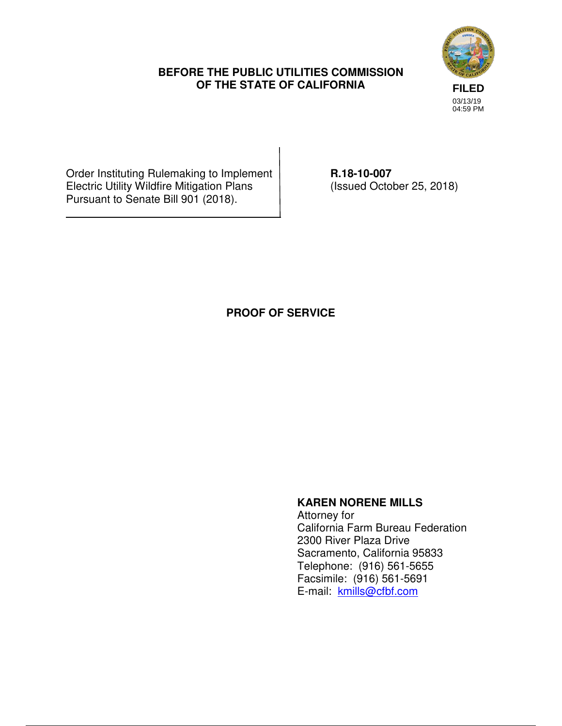#### **BEFORE THE PUBLIC UTILITIES COMMISSION OF THE STATE OF CALIFORNIA**



Order Instituting Rulemaking to Implement | R.18-10-007 Electric Utility Wildfire Mitigation Plans (Issued October 25, 2018) Pursuant to Senate Bill 901 (2018).

### **PROOF OF SERVICE**

## **KAREN NORENE MILLS**

 Attorney for California Farm Bureau Federation 2300 River Plaza Drive Sacramento, California 95833 Telephone: (916) 561-5655 Facsimile: (916) 561-5691 E-mail: kmills@cfbf.com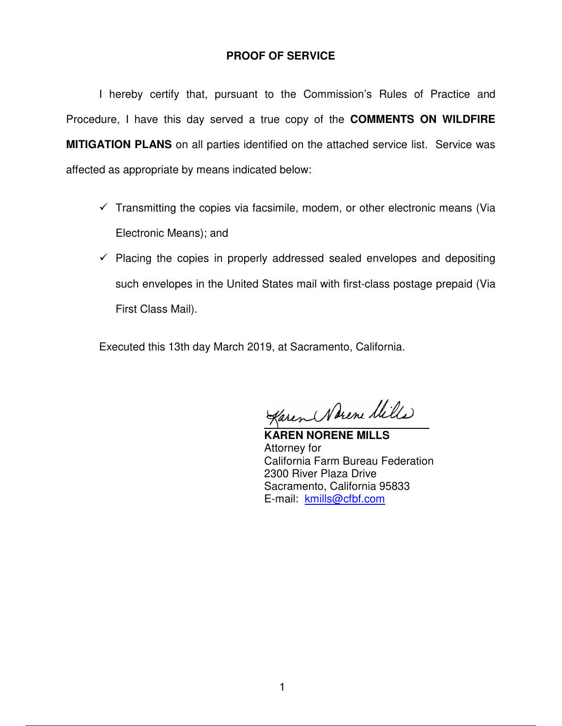#### **PROOF OF SERVICE**

 I hereby certify that, pursuant to the Commission's Rules of Practice and Procedure, I have this day served a true copy of the **COMMENTS ON WILDFIRE MITIGATION PLANS** on all parties identified on the attached service list. Service was affected as appropriate by means indicated below:

- $\checkmark$  Transmitting the copies via facsimile, modem, or other electronic means (Via Electronic Means); and
- $\checkmark$  Placing the copies in properly addressed sealed envelopes and depositing such envelopes in the United States mail with first-class postage prepaid (Via First Class Mail).

Executed this 13th day March 2019, at Sacramento, California.

Karen Nerene Mille

**KAREN NORENE MILLS**  Attorney for California Farm Bureau Federation 2300 River Plaza Drive Sacramento, California 95833 E-mail: kmills@cfbf.com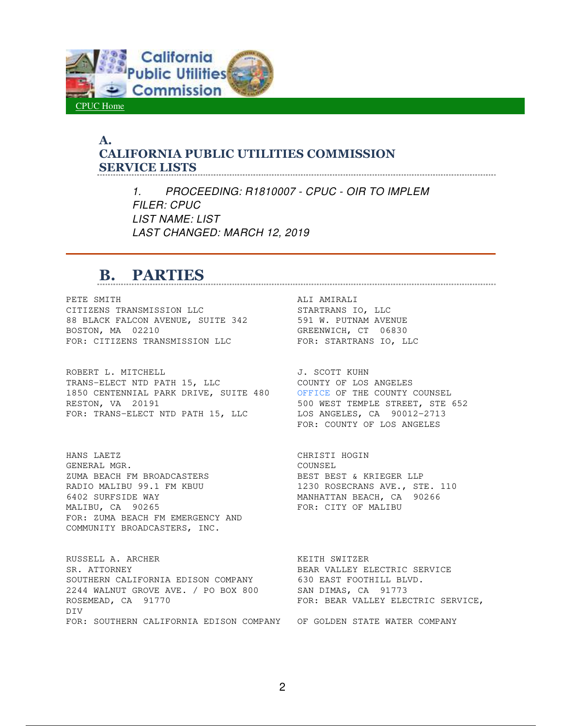

#### **A. CALIFORNIA PUBLIC UTILITIES COMMISSION SERVICE LISTS**

*1. PROCEEDING: R1810007 - CPUC - OIR TO IMPLEM FILER: CPUC LIST NAME: LIST LAST CHANGED: MARCH 12, 2019* 

# **B. PARTIES**

PETE SMITH ALI AMIRALI CITIZENS TRANSMISSION LLC STARTRANS IO, LLC 88 BLACK FALCON AVENUE, SUITE 342 591 W. PUTNAM AVENUE BOSTON, MA 02210 GREENWICH, CT 06830 FOR: CITIZENS TRANSMISSION LLC FOR: STARTRANS IO, LLC

ROBERT L. MITCHELL **GUILLET CONTRACT SCOTT KUHN** TRANS-ELECT NTD PATH 15, LLC COUNTY OF LOS ANGELES 1850 CENTENNIAL PARK DRIVE, SUITE 480 OFFICE OF THE COUNTY COUNSEL RESTON, VA 20191 652 STREET, STE 652 FOR: TRANS-ELECT NTD PATH 15, LLC LOS ANGELES, CA 90012-2713

HANS LAETZ SALE CHRISTI HOGIN GENERAL MGR. COUNSEL ZUMA BEACH FM BROADCASTERS BEST BEST & KRIEGER LLP RADIO MALIBU 99.1 FM KBUU 1230 ROSECRANS AVE., STE. 110 6402 SURFSIDE WAY MANHATTAN BEACH, CA 90266 MALIBU, CA 90265 FOR: CITY OF MALIBU FOR: ZUMA BEACH FM EMERGENCY AND COMMUNITY BROADCASTERS, INC.

RUSSELL A. ARCHER **KEITH SWITZER** SR. ATTORNEY **BEAR VALLEY ELECTRIC SERVICE** SOUTHERN CALIFORNIA EDISON COMPANY 630 EAST FOOTHILL BLVD. 2244 WALNUT GROVE AVE. / PO BOX 800 SAN DIMAS, CA 91773 ROSEMEAD, CA 91770 **FOR: BEAR VALLEY ELECTRIC SERVICE,** DIV FOR: SOUTHERN CALIFORNIA EDISON COMPANY OF GOLDEN STATE WATER COMPANY

FOR: COUNTY OF LOS ANGELES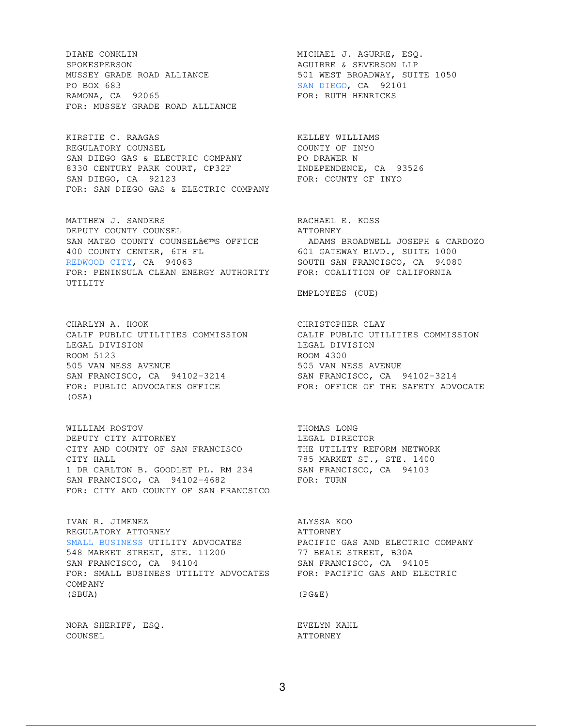DIANE CONKLIN MICHAEL J. AGURRE, ESQ. SPOKESPERSON <br>MUSSEY GRADE ROAD ALLIANCE MUSSEY SON MEST BROADWAY, SUIT MUSSEY GRADE ROAD ALLIANCE 501 WEST BROADWAY, SUITE 1050 PO BOX 683 SAN DIEGO, CA 92101 RAMONA, CA 92065 FOR: RUTH HENRICKS FOR: MUSSEY GRADE ROAD ALLIANCE

KIRSTIE C. RAAGAS KELLEY WILLIAMS REGULATORY COUNSEL SERIES AND REGULATORY COUNTY OF THYO REGULATORY COUNSEL **Example 2018** COUNTY OF INYO SAN DIEGO GAS & ELECTRIC COMPANY PO DRAWER N 8330 CENTURY PARK COURT, CP32F INDEPENDENCE, CA 93526 SAN DIEGO, CA 92123 FOR: COUNTY OF INYO FOR: SAN DIEGO GAS & ELECTRIC COMPANY

MATTHEW J. SANDERS RACHAEL E. KOSS DEPUTY COUNTY COUNSEL **ATTORNEY** SAN MATEO COUNTY COUNSEL€™S OFFICE ADAMS BROADWELL JOSEPH & CARDOZO 400 COUNTY CENTER, 6TH FL 601 GATEWAY BLVD., SUITE 1000 REDWOOD CITY, CA 94063 SOUTH SAN FRANCISCO, CA 94080 FOR: PENINSULA CLEAN ENERGY AUTHORITY FOR: COALITION OF CALIFORNIA UTILITY

CHARLYN A. HOOK CHRISTOPHER CLAY LEGAL DIVISION LEGAL DIVISION ROOM 5123 ROOM 4300 505 VAN NESS AVENUE 505 VAN NESS AVENUE SAN FRANCISCO, CA 94102-3214 SAN FRANCISCO, CA 94102-3214 FOR: PUBLIC ADVOCATES OFFICE FOR: OFFICE OF THE SAFETY ADVOCATE (OSA)

WILLIAM ROSTOV THOMAS LONG DEPUTY CITY ATTORNEY **Example 19** LEGAL DIRECTOR CITY AND COUNTY OF SAN FRANCISCO THE UTILITY REFORM NETWORK CITY HALL **THE STEAD STEAD OF STEAD ASSESSMENT ST., STE. 1400** 1 DR CARLTON B. GOODLET PL. RM 234 SAN FRANCISCO, CA 94103 SAN FRANCISCO, CA 94102-4682 FOR: TURN FOR: CITY AND COUNTY OF SAN FRANCSICO

IVAN R. JIMENEZ ALYSSA KOO REGULATORY ATTORNEY **ATTORNEY** SMALL BUSINESS UTILITY ADVOCATES PACIFIC GAS AND ELECTRIC COMPANY 548 MARKET STREET, STE. 11200 77 BEALE STREET, B30A SAN FRANCISCO, CA 94104 SAN FRANCISCO, CA 94105 FOR: SMALL BUSINESS UTILITY ADVOCATES FOR: PACIFIC GAS AND ELECTRIC COMPANY (SBUA) (PG&E)

NORA SHERIFF, ESQ. THE REVELYN KAHL COUNSEL ATTORNEY

EMPLOYEES (CUE)

CALIF PUBLIC UTILITIES COMMISSION CALIF PUBLIC UTILITIES COMMISSION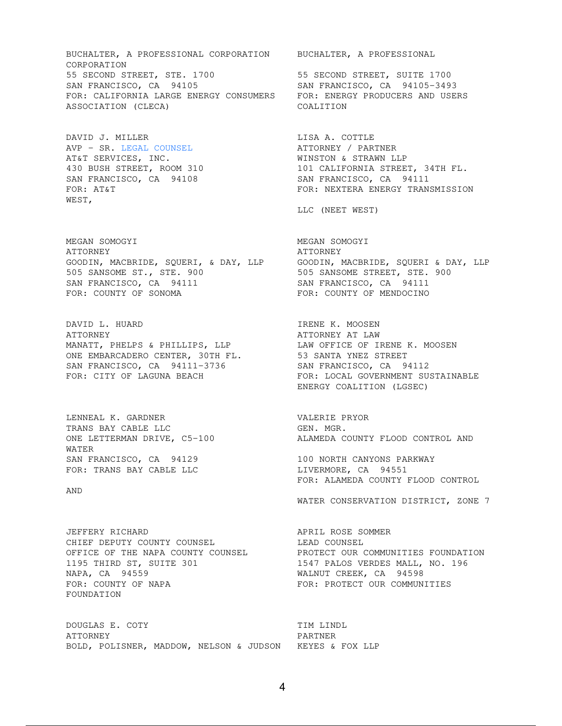BUCHALTER, A PROFESSIONAL CORPORATION BUCHALTER, A PROFESSIONAL CORPORATION 55 SECOND STREET, STE. 1700 55 SECOND STREET, SUITE 1700 SAN FRANCISCO, CA 94105 SAN FRANCISCO, CA 94105-3493 FOR: CALIFORNIA LARGE ENERGY CONSUMERS FOR: ENERGY PRODUCERS AND USERS ASSOCIATION (CLECA) COALITION

DAVID J. MILLER **LISA A. COTTLE** AVP - SR. LEGAL COUNSEL ATTORNEY / PARTNER AT&T SERVICES, INC. THE SERVICES ON THE MINSTON & STRAWN LLP WEST,

MEGAN SOMOGYI MEGAN SOMOGYI ATTORNEY THE SERIES OF THE SERIES AT TORNEY GOODIN, MACBRIDE, SQUERI, & DAY, LLP GOODIN, MACBRIDE, SQUERI & DAY, LLP 505 SANSOME ST., STE. 900 505 SANSOME STREET, STE. 900 SAN FRANCISCO, CA 94111 SAN FRANCISCO, CA 94111 FOR: COUNTY OF SONOMA FOR: COUNTY OF MENDOCINO

DAVID L. HUARD IRENE K. MOOSEN ATTORNEY ATTORNEY AT LAW MANATT, PHELPS & PHILLIPS, LLP LAW OFFICE OF IRENE K. MOOSEN ONE EMBARCADERO CENTER, 30TH FL. 53 SANTA YNEZ STREET SAN FRANCISCO, CA 94111-3736 SAN FRANCISCO, CA 94112

LENNEAL K. GARDNER VALERIE PRYOR TRANS BAY CABLE LLC GEN. MGR. WATER SAN FRANCISCO, CA 94129 100 NORTH CANYONS PARKWAY

AND

JEFFERY RICHARD **APRIL ROSE** SOMMER CHIEF DEPUTY COUNTY COUNSEL LEAD COUNSEL 1195 THIRD ST, SUITE 301 1547 PALOS VERDES MALL, NO. 196 NAPA, CA 94559 MALNUT CREEK, CA 94598 FOR: COUNTY OF NAPA FOR: PROTECT OUR COMMUNITIES FOUNDATION

DOUGLAS E. COTY TIM LINDL ATTORNEY PARTNER BOLD, POLISNER, MADDOW, NELSON & JUDSON KEYES & FOX LLP

430 BUSH STREET, ROOM 310 101 CALIFORNIA STREET, 34TH FL. SAN FRANCISCO, CA 94108 SAN FRANCISCO, CA 94111 FOR: AT&T FOR: NEXTERA ENERGY TRANSMISSION

LLC (NEET WEST)

FOR: CITY OF LAGUNA BEACH FOR: LOCAL GOVERNMENT SUSTAINABLE ENERGY COALITION (LGSEC)

ONE LETTERMAN DRIVE, C5-100 ALAMEDA COUNTY FLOOD CONTROL AND

FOR: TRANS BAY CABLE LLC LIVERMORE, CA 94551 FOR: ALAMEDA COUNTY FLOOD CONTROL

WATER CONSERVATION DISTRICT, ZONE 7

OFFICE OF THE NAPA COUNTY COUNSEL PROTECT OUR COMMUNITIES FOUNDATION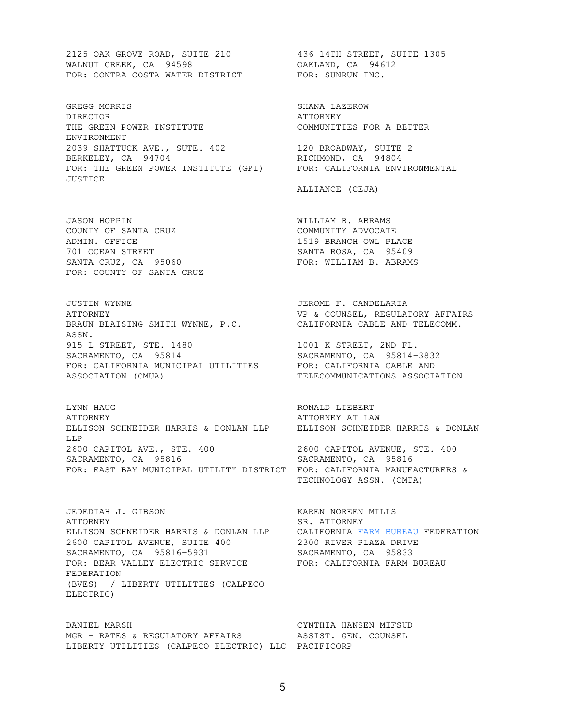2125 OAK GROVE ROAD, SUITE 210 436 14TH STREET, SUITE 1305 WALNUT CREEK, CA 94598 OAKLAND, CA 94612 FOR: CONTRA COSTA WATER DISTRICT FOR: SUNRUN INC.

GREGG MORRIS SHANA LAZEROW DIRECTOR ATTORNEY THE GREEN POWER INSTITUTE **EXAMULTIES FOR A BETTER** ENVIRONMENT 2039 SHATTUCK AVE., SUTE. 402 120 BROADWAY, SUITE 2 BERKELEY, CA 94704 RICHMOND, CA 94804 FOR: THE GREEN POWER INSTITUTE (GPI) FOR: CALIFORNIA ENVIRONMENTAL JUSTICE

JASON HOPPIN WILLIAM B. ABRAMS COUNTY OF SANTA CRUZ COMMUNITY ADVOCATE ADMIN. OFFICE 1519 BRANCH OWL PLACE 701 OCEAN STREET SANTA ROSA, CA 95409 SANTA CRUZ, CA 95060 FOR: WILLIAM B. ABRAMS FOR: COUNTY OF SANTA CRUZ

JUSTIN WYNNE JEROME F. CANDELARIA ATTORNEY **ALL ALCOMBED AT A SET ASSESSED ASSESS** VP & COUNSEL, REGULATORY AFFAIRS BRAUN BLAISING SMITH WYNNE, P.C. CALIFORNIA CABLE AND TELECOMM. ASSN. 915 L STREET, STE. 1480 1001 K STREET, 2ND FL. SACRAMENTO, CA 95814 SACRAMENTO, CA 95814-3832 FOR: CALIFORNIA MUNICIPAL UTILITIES SACRAMENTO, CA 95814<br>
FOR: CALIFORNIA MUNICIPAL UTILITIES<br>
ASSOCIATION (CMUA)<br>
TELECOMMUNICATIONS ASSOCIATION

LYNN HAUG **RONALD LIEBERT** ATTORNEY ATTORNEY AT LAW ELLISON SCHNEIDER HARRIS & DONLAN LLP ELLISON SCHNEIDER HARRIS & DONLAN LLP 2600 CAPITOL AVE., STE. 400 2600 CAPITOL AVENUE, STE. 400 SACRAMENTO, CA 95816 SACRAMENTO, CA 95816 FOR: EAST BAY MUNICIPAL UTILITY DISTRICT FOR: CALIFORNIA MANUFACTURERS &

JEDEDIAH J. GIBSON KAREN NOREEN MILLS ATTORNEY SR. ATTORNEY ELLISON SCHNEIDER HARRIS & DONLAN LLP CALIFORNIA FARM BUREAU FEDERATION 2600 CAPITOL AVENUE, SUITE 400 2300 RIVER PLAZA DRIVE SACRAMENTO, CA 95816-5931 SACRAMENTO, CA 95833 FOR: BEAR VALLEY ELECTRIC SERVICE FOR: CALIFORNIA FARM BUREAU FEDERATION (BVES) / LIBERTY UTILITIES (CALPECO ELECTRIC)

DANIEL MARSH CYNTHIA HANSEN MIFSUD MGR - RATES & REGULATORY AFFAIRS ASSIST. GEN. COUNSEL LIBERTY UTILITIES (CALPECO ELECTRIC) LLC PACIFICORP

ALLIANCE (CEJA)

TECHNOLOGY ASSN. (CMTA)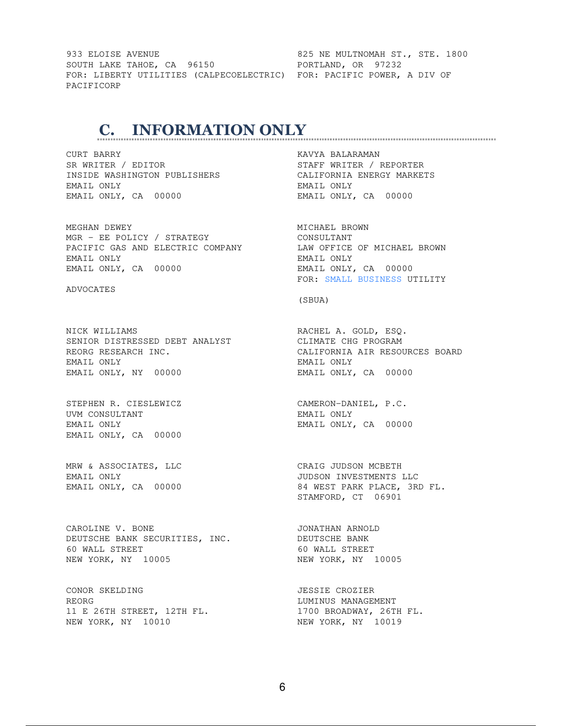933 ELOISE AVENUE **1998** CONTROL 1825 NE MULTNOMAH ST., STE. 1800 SOUTH LAKE TAHOE, CA 96150 **PORTLAND, OR 97232** FOR: LIBERTY UTILITIES (CALPECOELECTRIC) FOR: PACIFIC POWER, A DIV OF PACIFICORP

# **C. INFORMATION ONLY**

CURT BARRY **KAVYA BALARAMAN** SR WRITER / EDITOR STAFF WRITER / REPORTER INSIDE WASHINGTON PUBLISHERS CALIFORNIA ENERGY MARKETS EMAIL ONLY EMAIL ONLY EMAIL ONLY, CA 00000 EMAIL ONLY, CA 00000

MEGHAN DEWEY **MICHAEL BROWN** MGR - EE POLICY / STRATEGY CONSULTANT PACIFIC GAS AND ELECTRIC COMPANY LAW OFFICE OF MICHAEL BROWN EMAIL ONLY EMAIL ONLY EMAIL ONLY, CA 00000 EMAIL ONLY, CA 00000

ADVOCATES

NICK WILLIAMS **RACHEL A. GOLD, ESO.** SENIOR DISTRESSED DEBT ANALYST CLIMATE CHG PROGRAM REORG RESEARCH INC. THE CALIFORNIA AIR RESOURCES BOARD EMAIL ONLY EMAIL ONLY EMAIL ONLY, NY 00000 EMAIL ONLY, CA 00000

STEPHEN R. CIESLEWICZ CAMERON-DANIEL, P.C. UVM CONSULTANT FINALL ONLY EMAIL ONLY **EMAIL ONLY, CA** 00000 EMAIL ONLY, CA 00000

MRW & ASSOCIATES, LLC CRAIG JUDSON MCBETH

CAROLINE V. BONE **International CAROLINE V. BONE** DEUTSCHE BANK SECURITIES, INC. DEUTSCHE BANK 60 WALL STREET 60 WALL STREET NEW YORK, NY 10005 NEW YORK, NY 10005

CONOR SKELDING JESSIE CROZIER REORG **REORG** RESOLUTION OF THE SERVICE OF THE EXAMPLE AND LUMINUS MANAGEMENT 11 E 26TH STREET, 12TH FL. 1700 BROADWAY, 26TH FL. NEW YORK, NY 10010 NEW YORK, NY 10019

FOR: SMALL BUSINESS UTILITY

(SBUA)

EMAIL ONLY JUDSON INVESTMENTS LLC EMAIL ONLY, CA 00000 84 WEST PARK PLACE, 3RD FL. STAMFORD, CT 06901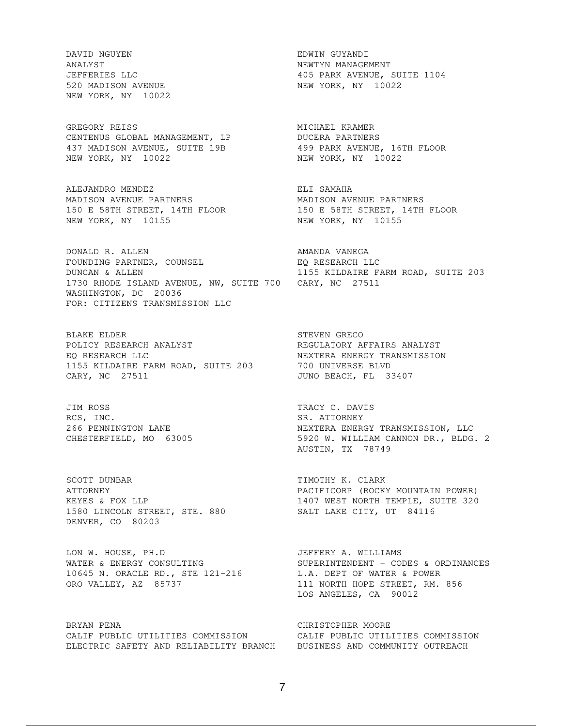DAVID NGUYEN EDWIN GUYANDI ANALYST NEWTYN MANAGEMENT NEW YORK, NY 10022

GREGORY REISS **MICHAEL KRAMER** CENTENUS GLOBAL MANAGEMENT, LP DUCERA PARTNERS 437 MADISON AVENUE, SUITE 19B 499 PARK AVENUE, 16TH FLOOR NEW YORK, NY 10022 NEW YORK, NY 10022

ALEJANDRO MENDEZ **ELI SAMAHA** MADISON AVENUE PARTNERS MADISON AVENUE PARTNERS NEW YORK, NY 10155 NEW YORK, NY 10155

DONALD R. ALLEN **AMANDA VANEGA** FOUNDING PARTNER, COUNSEL EQ RESEARCH LLC DUNCAN & ALLEN 1155 KILDAIRE FARM ROAD, SUITE 203 1730 RHODE ISLAND AVENUE, NW, SUITE 700 CARY, NC 27511 WASHINGTON, DC 20036 FOR: CITIZENS TRANSMISSION LLC

BLAKE ELDER STEVEN GRECO POLICY RESEARCH ANALYST **EXECULATORY AREGULATORY AFFAIRS ANALYST** EQ RESEARCH LLC NEXTERA ENERGY TRANSMISSION 1155 KILDAIRE FARM ROAD, SUITE 203 700 UNIVERSE BLVD CARY, NC 27511 **CARY, MC 27511** JUNO BEACH, FL 33407

JIM ROSS TRACY C. DAVIS RCS, INC. SR. ATTORNEY

SCOTT DUNBAR TIMOTHY K. CLARK 1580 LINCOLN STREET, STE. 880 SALT LAKE CITY, UT 84116 DENVER, CO 80203

LON W. HOUSE, PH.D JEFFERY A. WILLIAMS 10645 N. ORACLE RD., STE 121-216 L.A. DEPT OF WATER & POWER ORO VALLEY, AZ 85737 111 NORTH HOPE STREET, RM. 856

BRYAN PENA CHRISTOPHER MOORE CALIF PUBLIC UTILITIES COMMISSION CALIF PUBLIC UTILITIES COMMISSION ELECTRIC SAFETY AND RELIABILITY BRANCH BUSINESS AND COMMUNITY OUTREACH

JEFFERIES LLC 405 PARK AVENUE, SUITE 1104 520 MADISON AVENUE NEW YORK, NY 10022

150 E 58TH STREET, 14TH FLOOR 150 E 58TH STREET, 14TH FLOOR

266 PENNINGTON LANE NEXTERA ENERGY TRANSMISSION, LLC CHESTERFIELD, MO 63005 6800 5920 W. WILLIAM CANNON DR., BLDG. 2 AUSTIN, TX 78749

PACIFICORP (ROCKY MOUNTAIN POWER)<br>1407 WEST NORTH TEMPLE, SUITE 320 KEYES & FOX LLP 1407 WEST NORTH TEMPLE, SUITE 320

WATER & ENERGY CONSULTING SUPERINTENDENT - CODES & ORDINANCES LOS ANGELES, CA 90012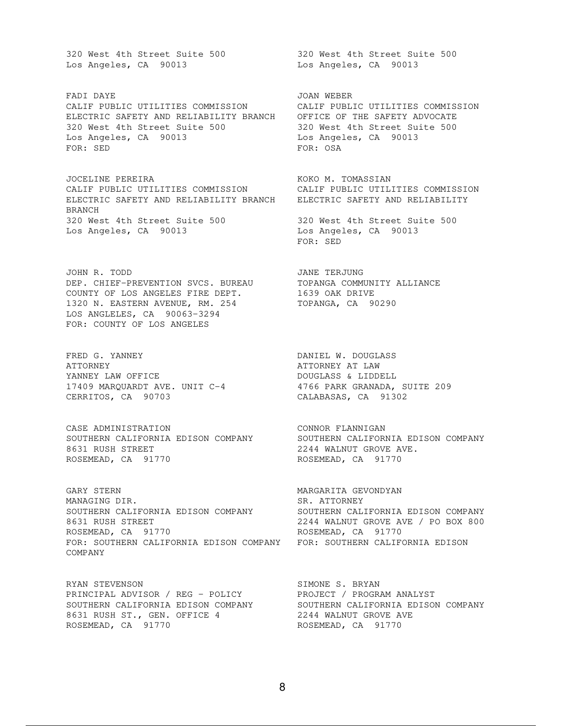Los Angeles, CA 90013 Los Angeles, CA 90013

FADI DAYE GEREER GEREER GEEST ON A SOON WEBER CALIF PUBLIC UTILITIES COMMISSION CALIF PUBLIC UTILITIES COMMISSION ELECTRIC SAFETY AND RELIABILITY BRANCH OFFICE OF THE SAFETY ADVOCATE 320 West 4th Street Suite 500 320 West 4th Street Suite 500 Los Angeles, CA 90013 Los Angeles, CA 90013 FOR: SED FOR: OSA

JOCELINE PEREIRA **KOKO M. TOMASSIAN** CALIF PUBLIC UTILITIES COMMISSION CALIF PUBLIC UTILITIES COMMISSION ELECTRIC SAFETY AND RELIABILITY BRANCH ELECTRIC SAFETY AND RELIABILITY BRANCH 320 West 4th Street Suite 500 320 West 4th Street Suite 500 Los Angeles, CA 90013 Los Angeles, CA 90013

JOHN R. TODD **JANE TERJUNG** DEP. CHIEF-PREVENTION SVCS. BUREAU TOPANGA COMMUNITY ALLIANCE COUNTY OF LOS ANGELES FIRE DEPT. 1639 OAK DRIVE 1320 N. EASTERN AVENUE, RM. 254 TOPANGA, CA 90290 LOS ANGLELES, CA 90063-3294 FOR: COUNTY OF LOS ANGELES

FRED G. YANNEY **Example 20** OANIEL W. DOUGLASS ATTORNEY ATTORNEY AT LAW YANNEY LAW OFFICE DOUGLASS & LIDDELL 17409 MARQUARDT AVE. UNIT C-4 4766 PARK GRANADA, SUITE 209 CERRITOS, CA 90703 CALABASAS, CA 91302

CASE ADMINISTRATION **CONNOR FLANNIGAN** SOUTHERN CALIFORNIA EDISON COMPANY SOUTHERN CALIFORNIA EDISON COMPANY 8631 RUSH STREET 2244 WALNUT GROVE AVE. ROSEMEAD, CA 91770 ROSEMEAD, CA 91770

GARY STERN MARGARITA GEVONDYAN MANAGING DIR. SR. ATTORNEY SOUTHERN CALIFORNIA EDISON COMPANY SOUTHERN CALIFORNIA EDISON COMPANY 8631 RUSH STREET 2244 WALNUT GROVE AVE / PO BOX 800 ROSEMEAD, CA 91770 ROSEMEAD, CA 91770 FOR: SOUTHERN CALIFORNIA EDISON COMPANY FOR: SOUTHERN CALIFORNIA EDISON COMPANY

RYAN STEVENSON SIMONE S. BRYAN PRINCIPAL ADVISOR / REG - POLICY PROJECT / PROGRAM ANALYST SOUTHERN CALIFORNIA EDISON COMPANY SOUTHERN CALIFORNIA EDISON COMPANY 8631 RUSH ST., GEN. OFFICE 4 2244 WALNUT GROVE AVE ROSEMEAD, CA 91770 ROSEMEAD, CA 91770

320 West 4th Street Suite 500 320 West 4th Street Suite 500

FOR: SED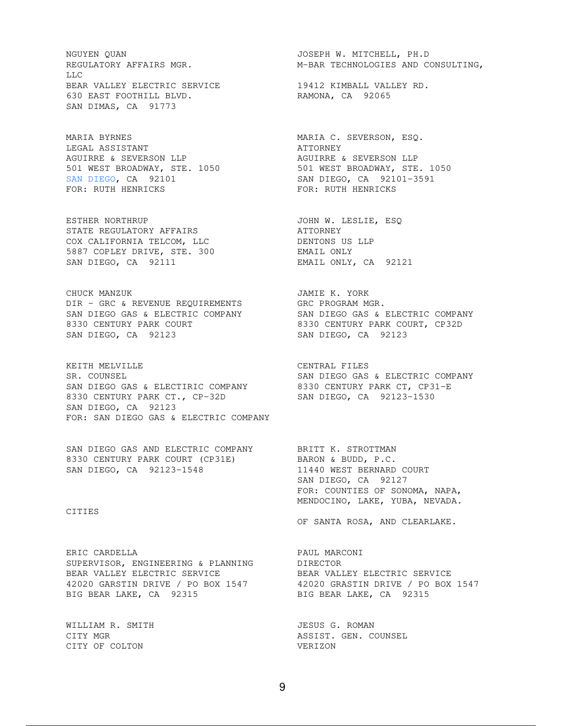NGUYEN QUAN JOSEPH W. MITCHELL, PH.D LLC BEAR VALLEY ELECTRIC SERVICE 19412 KIMBALL VALLEY RD. 630 EAST FOOTHILL BLVD. RAMONA, CA 92065 SAN DIMAS, CA 91773

MARIA BYRNES MARIA C. SEVERSON, ESQ. LEGAL ASSISTANT **ATTORNEY** AGUIRRE & SEVERSON LLP **AGUIRRE & SEVERSON LLP** 501 WEST BROADWAY, STE. 1050 501 WEST BROADWAY, STE. 1050 SAN DIEGO, CA 92101 SAN DIEGO, CA 92101-3591 FOR: RUTH HENRICKS FOR: RUTH HENRICKS

ESTHER NORTHRUP JOHN W. LESLIE, ESQ STATE REGULATORY AFFAIRS **ALL ALL AND ATTORNEY** COX CALIFORNIA TELCOM, LLC DENTONS US LLP 5887 COPLEY DRIVE, STE. 300 EMAIL ONLY SAN DIEGO, CA 92111 EMAIL ONLY, CA 92121

CHUCK MANZUK **JAMIE K. YORK** DIR - GRC & REVENUE REQUIREMENTS GRC PROGRAM MGR. SAN DIEGO GAS & ELECTRIC COMPANY SAN DIEGO GAS & ELECTRIC COMPANY 8330 CENTURY PARK COURT 8330 CENTURY PARK COURT, CP32D SAN DIEGO, CA 92123 SAN DIEGO, CA 92123

KEITH MELVILLE **CENTRAL FILES** SR. COUNSEL SAN DIEGO GAS & ELECTRIC COMPANY SAN DIEGO GAS & ELECTIRIC COMPANY 8330 CENTURY PARK CT, CP31-E 8330 CENTURY PARK CT., CP-32D SAN DIEGO, CA 92123-1530 SAN DIEGO, CA 92123 FOR: SAN DIEGO GAS & ELECTRIC COMPANY

SAN DIEGO GAS AND ELECTRIC COMPANY BRITT K. STROTTMAN 8330 CENTURY PARK COURT (CP31E) BARON & BUDD, P.C. SAN DIEGO, CA 92123-1548 11440 WEST BERNARD COURT

CITIES

ERIC CARDELLA PAUL MARCONI SUPERVISOR, ENGINEERING & PLANNING DIRECTOR BEAR VALLEY ELECTRIC SERVICE **ELECTRIC SERVICE** BEAR VALLEY ELECTRIC SERVICE 42020 GARSTIN DRIVE / PO BOX 1547 42020 GRASTIN DRIVE / PO BOX 1547 BIG BEAR LAKE, CA 92315 BIG BEAR LAKE, CA 92315

CITY OF COLTON VERIZON

REGULATORY AFFAIRS MGR. THE MET ARRIFORM MERRIFORM MEGULATORY AFFAIRS,

 SAN DIEGO, CA 92127 FOR: COUNTIES OF SONOMA, NAPA, MENDOCINO, LAKE, YUBA, NEVADA.

OF SANTA ROSA, AND CLEARLAKE.

WILLIAM R. SMITH **GALLACE COMMUNICE** SOMAN JESUS G. ROMAN CITY MGR
and the counsel of the counsel of the counsel of the counsel and the counsel of the counsel of the counsel of the counsel of the counsel of the counsel of the counsel of the counsel of the counsel of the counsel o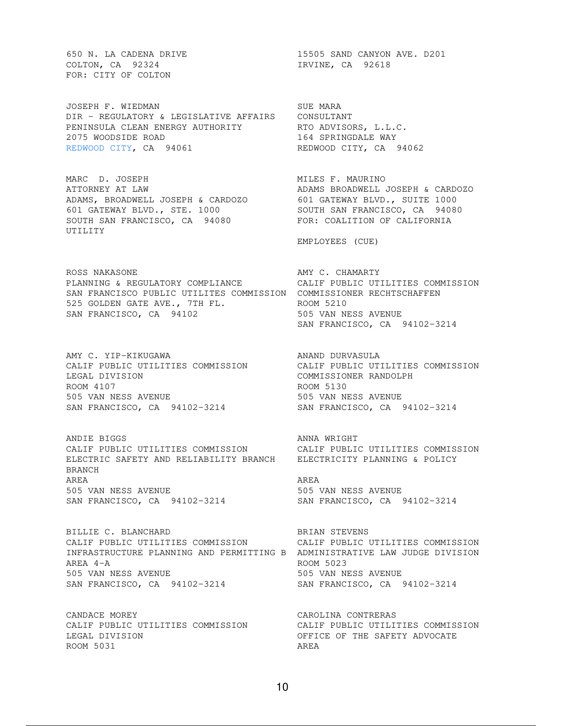COLTON, CA 92324 IRVINE, CA 92618 FOR: CITY OF COLTON

JOSEPH F. WIEDMAN SUE MARA DIR - REGULATORY & LEGISLATIVE AFFAIRS CONSULTANT PENINSULA CLEAN ENERGY AUTHORITY RTO ADVISORS, L.L.C. 2075 WOODSIDE ROAD 164 SPRINGDALE WAY 2075 WOODSIDE ROAD<br>REDWOOD CITY, CA 94061 REDWOOD CITY, CA 94062

MARC D. JOSEPH MILES F. MAURINO ATTORNEY AT LAW ADAMS BROADWELL JOSEPH & CARDOZO ADAMS, BROADWELL JOSEPH & CARDOZO 601 GATEWAY BLVD., SUITE 1000 601 GATEWAY BLVD., STE. 1000 SOUTH SAN FRANCISCO, CA 94080 SOUTH SAN FRANCISCO, CA 94080 FOR: COALITION OF CALIFORNIA UTILITY

ROSS NAKASONE **AMY C. CHAMARTY** PLANNING & REGULATORY COMPLIANCE CALIF PUBLIC UTILITIES COMMISSION SAN FRANCISCO PUBLIC UTILITES COMMISSION COMMISSIONER RECHTSCHAFFEN 525 GOLDEN GATE AVE., 7TH FL. ROOM 5210 SAN FRANCISCO, CA 94102 505 VAN NESS AVENUE

AMY C. YIP-KIKUGAWA ANAND DURVASULA CALIF PUBLIC UTILITIES COMMISSION CALIF PUBLIC UTILITIES COMMISSION<br>COMMISSIONER RANDOLPH ROOM 4107 ROOM 5130 505 VAN NESS AVENUE 505 VAN NESS AVENUE SAN FRANCISCO, CA 94102-3214 SAN FRANCISCO, CA 94102-3214

ANDIE BIGGS ANNA WRIGHT CALIF PUBLIC UTILITIES COMMISSION CALIF PUBLIC UTILITIES COMMISSION ELECTRIC SAFETY AND RELIABILITY BRANCH ELECTRICITY PLANNING & POLICY BRANCH AREA AREA 505 VAN NESS AVENUE 505 VAN NESS AVENUE SAN FRANCISCO, CA 94102-3214 SAN FRANCISCO, CA 94102-3214

BILLIE C. BLANCHARD BRIAN STEVENS CALIF PUBLIC UTILITIES COMMISSION CALIF PUBLIC UTILITIES COMMISSION INFRASTRUCTURE PLANNING AND PERMITTING B ADMINISTRATIVE LAW JUDGE DIVISION AREA 4-A ROOM 5023 505 VAN NESS AVENUE 505 VAN NESS AVENUE SAN FRANCISCO, CA 94102-3214 SAN FRANCISCO, CA 94102-3214

CANDACE MOREY CAROLINA CONTRERAS CALIF PUBLIC UTILITIES COMMISSION CALIF PUBLIC UTILITIES COMMISSION LEGAL DIVISION OFFICE OF THE SAFETY ADVOCATE ROOM 5031 AREA

650 N. LA CADENA DRIVE 15505 SAND CANYON AVE. D201

EMPLOYEES (CUE)

SAN FRANCISCO, CA 94102-3214

COMMISSIONER RANDOLPH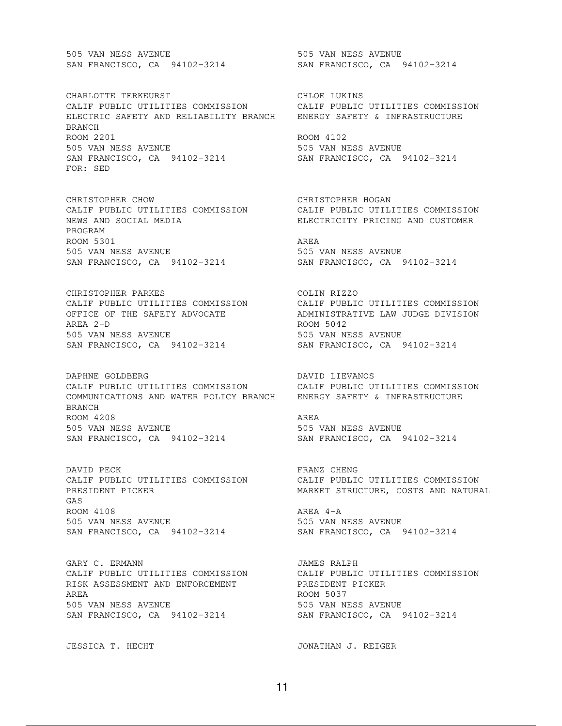505 VAN NESS AVENUE 505 VAN NESS AVENUE

CHARLOTTE TERKEURST CHARLOTTE CHARLOTTE OF CHLOE CHLOE LUKINS CALIF PUBLIC UTILITIES COMMISSION CALIF PUBLIC UTILITIES COMMISSION ELECTRIC SAFETY AND RELIABILITY BRANCH ENERGY SAFETY & INFRASTRUCTURE BRANCH ROOM 2201 ROOM 4102 505 VAN NESS AVENUE 505 VAN NESS AVENUE SAN FRANCISCO, CA 94102-3214 SAN FRANCISCO, CA 94102-3214 FOR: SED

CHRISTOPHER CHOW CHRISTOPHER HOGAN NEWS AND SOCIAL MEDIA ELECTRICITY PRICING AND CUSTOMER PROGRAM ROOM 5301 AREA 505 VAN NESS AVENUE 505 VAN NESS AVENUE SAN FRANCISCO, CA 94102-3214 SAN FRANCISCO, CA 94102-3214

CHRISTOPHER PARKES COLIN RIZZO AREA 2-D ROOM 5042 505 VAN NESS AVENUE 505 VAN NESS AVENUE SAN FRANCISCO, CA 94102-3214 SAN FRANCISCO, CA 94102-3214

DAPHNE GOLDBERG **DAVID LIEVANOS** CALIF PUBLIC UTILITIES COMMISSION CALIF PUBLIC UTILITIES COMMISSION COMMUNICATIONS AND WATER POLICY BRANCH ENERGY SAFETY & INFRASTRUCTURE BRANCH ROOM 4208 AREA 505 VAN NESS AVENUE 505 VAN NESS AVENUE SAN FRANCISCO, CA 94102-3214 SAN FRANCISCO, CA 94102-3214

DAVID PECK SERAGE RESOLUTION OF PRANZ CHENG PRESIDENT PICKER MARKET STRUCTURE, COSTS AND NATURAL GAS ROOM 4108 AREA 4-A 505 VAN NESS AVENUE 505 VAN NESS AVENUE SAN FRANCISCO, CA 94102-3214 SAN FRANCISCO, CA 94102-3214

GARY C. ERMANN **JAMES RALPH** CALIF PUBLIC UTILITIES COMMISSION CALIF PUBLIC UTILITIES COMMISSION RISK ASSESSMENT AND ENFORCEMENT PRESIDENT PICKER AREA ROOM 5037 505 VAN NESS AVENUE 505 VAN NESS AVENUE SAN FRANCISCO, CA 94102-3214 SAN FRANCISCO, CA 94102-3214

SAN FRANCISCO, CA 94102-3214 SAN FRANCISCO, CA 94102-3214

CALIF PUBLIC UTILITIES COMMISSION CALIF PUBLIC UTILITIES COMMISSION

CALIF PUBLIC UTILITIES COMMISSION CALIF PUBLIC UTILITIES COMMISSION OFFICE OF THE SAFETY ADVOCATE ADMINISTRATIVE LAW JUDGE DIVISION

CALIF PUBLIC UTILITIES COMMISSION CALIF PUBLIC UTILITIES COMMISSION

JESSICA T. HECHT JONATHAN J. REIGER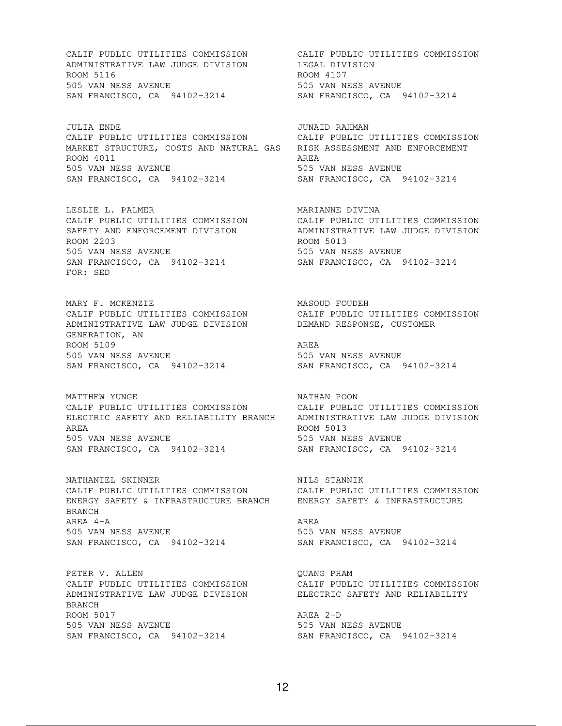ADMINISTRATIVE LAW JUDGE DIVISION LEGAL DIVISION ROOM 5116 ROOM 4107 505 VAN NESS AVENUE 505 VAN NESS AVENUE SAN FRANCISCO, CA 94102-3214 SAN FRANCISCO, CA 94102-3214

JULIA ENDE JUNAID RAHMAN CALIF PUBLIC UTILITIES COMMISSION CALIF PUBLIC UTILITIES COMMISSION MARKET STRUCTURE, COSTS AND NATURAL GAS RISK ASSESSMENT AND ENFORCEMENT ROOM 4011 AREA 505 VAN NESS AVENUE 505 VAN NESS AVENUE SAN FRANCISCO, CA 94102-3214 SAN FRANCISCO, CA 94102-3214

ROOM 2203<br>
505 VAN NESS AVENUE<br>
505 VAN NESS AVENUE<br>
505 VAN NESS AVENUE 505 VAN NESS AVENUE 505 VAN NESS AVENUE SAN FRANCISCO, CA 94102-3214 SAN FRANCISCO, CA 94102-3214 FOR: SED

MARY F. MCKENZIE **MASOUD** FOUDEH ADMINISTRATIVE LAW JUDGE DIVISION DEMAND RESPONSE, CUSTOMER GENERATION, AN ROOM 5109 AREA 505 VAN NESS AVENUE 505 VAN NESS AVENUE SAN FRANCISCO, CA 94102-3214 SAN FRANCISCO, CA 94102-3214

MATTHEW YUNGE NATHAN POON ELECTRIC SAFETY AND RELIABILITY BRANCH ADMINISTRATIVE LAW JUDGE DIVISION AREA ROOM 5013 505 VAN NESS AVENUE 505 VAN NESS AVENUE SAN FRANCISCO, CA 94102-3214 SAN FRANCISCO, CA 94102-3214

NATHANIEL SKINNER NATHANIEL STANNIK CALIF PUBLIC UTILITIES COMMISSION CALIF PUBLIC UTILITIES COMMISSION ENERGY SAFETY & INFRASTRUCTURE BRANCH ENERGY SAFETY & INFRASTRUCTURE BRANCH AREA 4-A AREA AREA 505 VAN NESS AVENUE 505 VAN NESS AVENUE SAN FRANCISCO, CA 94102-3214 SAN FRANCISCO, CA 94102-3214

PETER V. ALLEN **GUANG PHAM** ADMINISTRATIVE LAW JUDGE DIVISION ELECTRIC SAFETY AND RELIABILITY BRANCH ROOM 5017 ROOM AREA 2-D 505 VAN NESS AVENUE 505 VAN NESS AVENUE SAN FRANCISCO, CA 94102-3214 SAN FRANCISCO, CA 94102-3214

CALIF PUBLIC UTILITIES COMMISSION CALIF PUBLIC UTILITIES COMMISSION

LESLIE L. PALMER<br>
CALIF PUBLIC UTILITIES COMMISSION CALIF PUBLIC UTILITIES COMMISSION<br>
SAFETY AND ENFORCEMENT DIVISION ADMINISTRATIVE LAW JUDGE DIVISION CALIF PUBLIC UTILITIES COMMISSION CALIF PUBLIC UTILITIES COMMISSION SAFETY AND ENFORCEMENT DIVISION ADMINISTRATIVE LAW JUDGE DIVISION

CALIF PUBLIC UTILITIES COMMISSION CALIF PUBLIC UTILITIES COMMISSION

CALIF PUBLIC UTILITIES COMMISSION CALIF PUBLIC UTILITIES COMMISSION

CALIF PUBLIC UTILITIES COMMISSION CALIF PUBLIC UTILITIES COMMISSION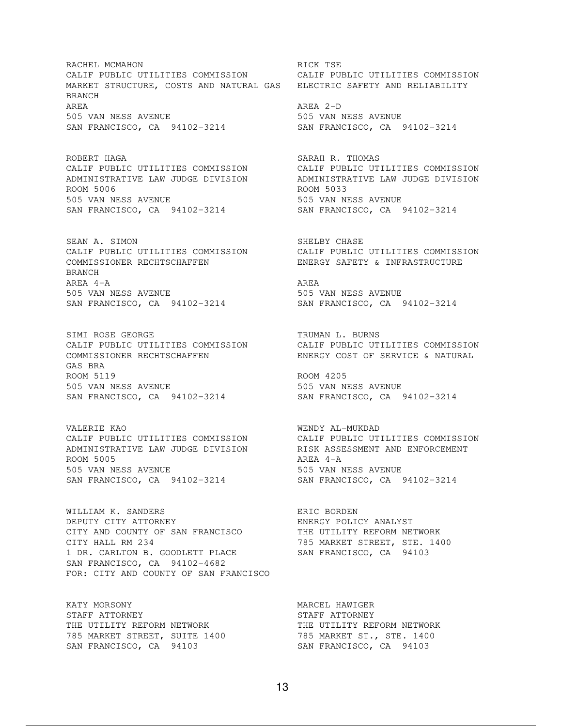RACHEL MCMAHON **RACHEL MEDICAL SERVICE SERVICE** CALIF PUBLIC UTILITIES COMMISSION CALIF PUBLIC UTILITIES COMMISSION MARKET STRUCTURE, COSTS AND NATURAL GAS ELECTRIC SAFETY AND RELIABILITY BRANCH AREA AREA 2-D 505 VAN NESS AVENUE 505 VAN NESS AVENUE SAN FRANCISCO, CA 94102-3214 SAN FRANCISCO, CA 94102-3214

ROBERT HAGA SARAH R. THOMAS ROOM 5006 ROOM 5033 505 VAN NESS AVENUE 505 VAN NESS AVENUE SAN FRANCISCO, CA 94102-3214 SAN FRANCISCO, CA 94102-3214

SEAN A. SIMON SHELBY CHASE COMMISSIONER RECHTSCHAFFEN ENERGY SAFETY & INFRASTRUCTURE BRANCH AREA 4-A AREA AREA 505 VAN NESS AVENUE 505 VAN NESS AVENUE SAN FRANCISCO, CA 94102-3214 SAN FRANCISCO, CA 94102-3214

SIMI ROSE GEORGE TRUMAN L. BURNS CALIF PUBLIC UTILITIES COMMISSION CALIF PUBLIC UTILITIES COMMISSION GAS BRA ROOM 5119 ROOM 205 505 VAN NESS AVENUE 505 VAN NESS AVENUE SAN FRANCISCO, CA 94102-3214 SAN FRANCISCO, CA 94102-3214

VALERIE KAO WENDY AL-MUKDAD CALIF PUBLIC UTILITIES COMMISSION CALIF PUBLIC UTILITIES COMMISSION ADMINISTRATIVE LAW JUDGE DIVISION RISK ASSESSMENT AND ENFORCEMENT ROOM 5005 AREA 4-A 505 VAN NESS AVENUE 505 VAN NESS AVENUE SAN FRANCISCO, CA 94102-3214 SAN FRANCISCO, CA 94102-3214

WILLIAM K. SANDERS ERIC BORDEN DEPUTY CITY ATTORNEY ENERGY POLICY ANALYST CITY AND COUNTY OF SAN FRANCISCO THE UTILITY REFORM NETWORK CITY HALL RM 234 785 MARKET STREET, STE. 1400 1 DR. CARLTON B. GOODLETT PLACE SAN FRANCISCO, CA 94103 SAN FRANCISCO, CA 94102-4682 FOR: CITY AND COUNTY OF SAN FRANCISCO

KATY MORSONY **MARCEL HAWIGER** STAFF ATTORNEY **STAFF ATTORNEY** THE UTILITY REFORM NETWORK THE UTILITY REFORM NETWORK 785 MARKET STREET, SUITE 1400 785 MARKET ST., STE. 1400 SAN FRANCISCO, CA 94103 SAN FRANCISCO, CA 94103

CALIF PUBLIC UTILITIES COMMISSION CALIF PUBLIC UTILITIES COMMISSION ADMINISTRATIVE LAW JUDGE DIVISION ADMINISTRATIVE LAW JUDGE DIVISION

CALIF PUBLIC UTILITIES COMMISSION<br>COMMISSIONER RECHTSCHAFFEN FREECY SAFETY & INFRASTRUCTURE

CALIF PUBLIC UTILITIES COMMISSION<br>COMMISSIONER RECHTSCHAFFEN ENERGY COST OF SERVICE & NATURAL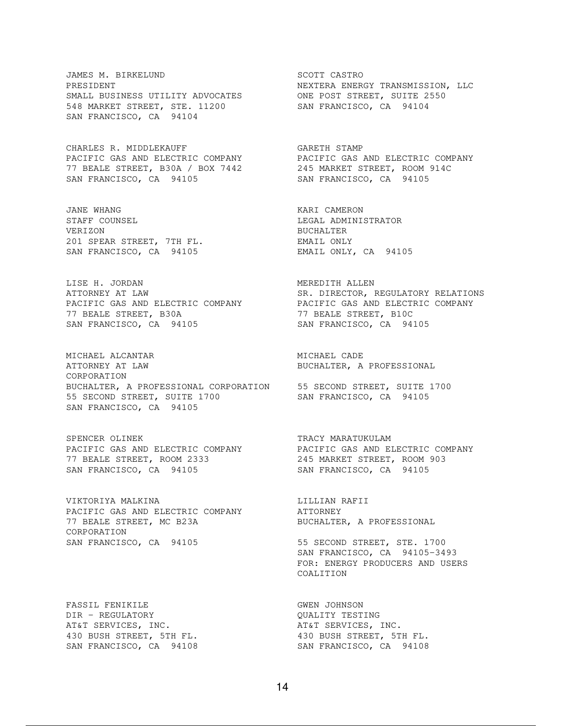JAMES M. BIRKELUND SCOTT CASTRO PRESIDENT NEXTERA ENERGY TRANSMISSION, LLC SMALL BUSINESS UTILITY ADVOCATES ONE POST STREET, SUITE 2550 548 MARKET STREET, STE. 11200 SAN FRANCISCO, CA 94104 SAN FRANCISCO, CA 94104

CHARLES R. MIDDLEKAUFF GARETH STAMP 77 BEALE STREET, B30A / BOX 7442 245 MARKET STREET, ROOM 914C SAN FRANCISCO, CA 94105 SAN FRANCISCO, CA 94105

JANE WHANG **KARI CAMERON** STAFF COUNSEL STAFF COUNSEL STAFF COUNSEL VERIZON BUCHALTER 201 SPEAR STREET, 7TH FL. EMAIL ONLY SAN FRANCISCO, CA 94105 EMAIL ONLY, CA 94105

LISE H. JORDAN MEREDITH ALLEN 77 BEALE STREET, B30A 77 BEALE STREET, B10C SAN FRANCISCO, CA 94105 SAN FRANCISCO, CA 94105

MICHAEL ALCANTAR MICHAEL CADE ATTORNEY AT LAW BUCHALTER, A PROFESSIONAL CORPORATION BUCHALTER, A PROFESSIONAL CORPORATION 55 SECOND STREET, SUITE 1700 55 SECOND STREET, SUITE 1700 SAN FRANCISCO, CA 94105 SAN FRANCISCO, CA 94105

SPENCER OLINEK TRACY MARATUKULAM 77 BEALE STREET, ROOM 2333 245 MARKET STREET, ROOM 903 SAN FRANCISCO, CA 94105 SAN FRANCISCO, CA 94105

VIKTORIYA MALKINA LILLIAN RAFII PACIFIC GAS AND ELECTRIC COMPANY **ATTORNEY** 77 BEALE STREET, MC B23A BUCHALTER, A PROFESSIONAL CORPORATION SAN FRANCISCO, CA 94105 55 SECOND STREET, STE. 1700

FASSIL FENIKILE **GWEN** JOHNSON DIR - REGULATORY QUALITY TESTING AT&T SERVICES, INC. THE SERVICES, INC.

PACIFIC GAS AND ELECTRIC COMPANY PACIFIC GAS AND ELECTRIC COMPANY

ATTORNEY AT LAW SALL THE SER. DIRECTOR, REGULATORY RELATIONS PACIFIC GAS AND ELECTRIC COMPANY PACIFIC GAS AND ELECTRIC COMPANY

PACIFIC GAS AND ELECTRIC COMPANY PACIFIC GAS AND ELECTRIC COMPANY

 SAN FRANCISCO, CA 94105-3493 FOR: ENERGY PRODUCERS AND USERS COALITION

430 BUSH STREET, 5TH FL. 430 BUSH STREET, 5TH FL. SAN FRANCISCO, CA 94108 SAN FRANCISCO, CA 94108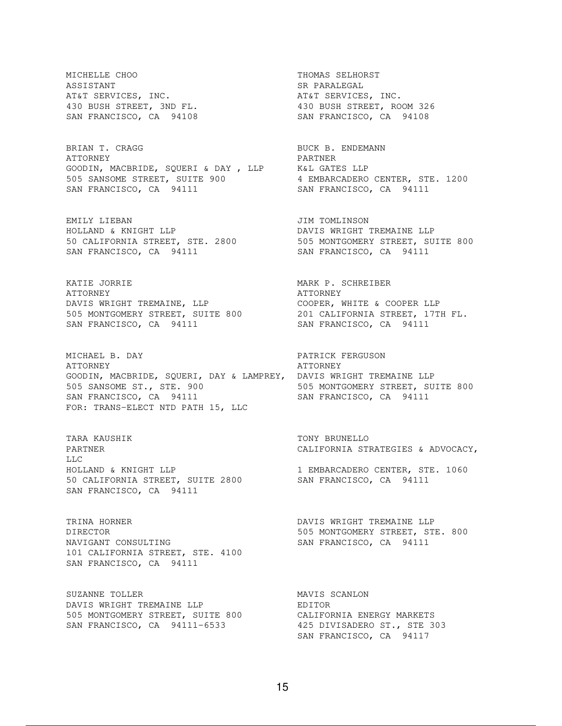MICHELLE CHOO THOMAS SELHORST ASSISTANT SR PARALEGAL AT&T SERVICES, INC. THE SERVICES, INC. 430 BUSH STREET, 3ND FL. 430 BUSH STREET, ROOM 326

BRIAN T. CRAGG BEDEMANN BUCK B. ENDEMANN ATTORNEY PARTNER GOODIN, MACBRIDE, SQUERI & DAY , LLP K&L GATES LLP 505 SANSOME STREET, SUITE 900 4 EMBARCADERO CENTER, STE. 1200 SAN FRANCISCO, CA 94111 SAN FRANCISCO, CA 94111

EMILY LIEBAN JIM TOMLINSON HOLLAND & KNIGHT LLP DAVIS WRIGHT TREMAINE LLP SAN FRANCISCO, CA 94111 SAN FRANCISCO, CA 94111

KATIE JORRIE MARK P. SCHREIBER ATTORNEY THE SERIES OF THE SERIES AT TORNEY DAVIS WRIGHT TREMAINE, LLP **COOPER, WHITE & COOPER LLP** 505 MONTGOMERY STREET, SUITE 800 201 CALIFORNIA STREET, 17TH FL. SAN FRANCISCO, CA 94111 SAN FRANCISCO, CA 94111

MICHAEL B. DAY PATRICK FERGUSON ATTORNEY<br>GOODIN, MACBRIDE, SQUERI, DAY & LAMPREY, DAVIS WRIGHT TREMAINE LLP GOODIN, MACBRIDE, SQUERI, DAY & LAMPREY, DAVIS WRIGHT TREMAINE LLP 505 SANSOME ST., STE. 900 505 MONTGOMERY STREET, SUITE 800 SAN FRANCISCO, CA 94111 SAN FRANCISCO, CA 94111 FOR: TRANS-ELECT NTD PATH 15, LLC

TARA KAUSHIK TONY BRUNELLO LLC HOLLAND & KNIGHT LLP 1 EMBARCADERO CENTER, STE. 1060 50 CALIFORNIA STREET, SUITE 2800 SAN FRANCISCO, CA 94111 SAN FRANCISCO, CA 94111

TRINA HORNER DAVIS WRIGHT TREMAINE LLP DIRECTOR **505 MONTGOMERY STREET, STE. 800** NAVIGANT CONSULTING SAN FRANCISCO, CA 94111 101 CALIFORNIA STREET, STE. 4100 SAN FRANCISCO, CA 94111

SUZANNE TOLLER MAVIS SCANLON DAVIS WRIGHT TREMAINE LLP FREEDITOR 505 MONTGOMERY STREET, SUITE 800 CALIFORNIA ENERGY MARKETS SAN FRANCISCO, CA 94111-6533 425 DIVISADERO ST., STE 303

SAN FRANCISCO, CA 94108 SAN FRANCISCO, CA 94108

50 CALIFORNIA STREET, STE. 2800 505 MONTGOMERY STREET, SUITE 800

PARTNER CALIFORNIA STRATEGIES & ADVOCACY,

SAN FRANCISCO, CA 94117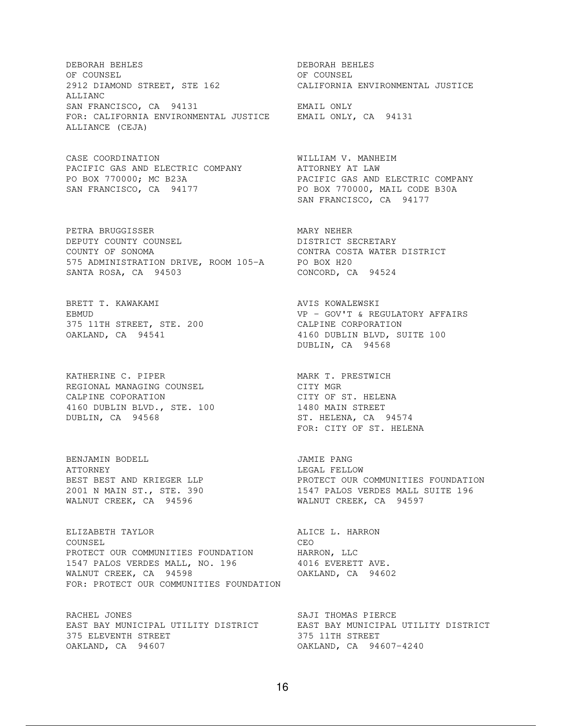DEBORAH BEHLES DEBORAH BEHLES OF COUNSEL COUNSEL 2912 DIAMOND STREET, STE 162 CALIFORNIA ENVIRONMENTAL JUSTICE ALLIANC SAN FRANCISCO, CA 94131 EMAIL ONLY FOR: CALIFORNIA ENVIRONMENTAL JUSTICE EMAIL ONLY, CA 94131 ALLIANCE (CEJA)

CASE COORDINATION WILLIAM V. MANHEIM PACIFIC GAS AND ELECTRIC COMPANY ATTORNEY AT LAW

PETRA BRUGGISSER MARY NEHER DEPUTY COUNTY COUNSEL DISTRICT SECRETARY COUNTY OF SONOMA CONTRA COSTA WATER DISTRICT 575 ADMINISTRATION DRIVE, ROOM 105-A PO BOX H20 SANTA ROSA, CA 94503 CONCORD, CA 94524

BRETT T. KAWAKAMI **AVIS KOWALEWSKI** 375 11TH STREET, STE. 200 CALPINE CORPORATION

KATHERINE C. PIPER<br>
REGIONAL MANAGING COUNSEL CITY MGR<br>
CALPINE COPORATION CITY OF ST. HELEN REGIONAL MANAGING COUNSEL CITY MGR CALPINE COPORATION CALPINE COPORATION 4160 DUBLIN BLVD., STE. 100 1480 MAIN STREET DUBLIN, CA 94568 ST. HELENA, CA 94574

BENJAMIN BODELL JAMIE PANG ATTORNEY GENERAL PROPERTY CONTROL AND LEGAL FELLOW

ELIZABETH TAYLOR **ALICE L. HARRON** COUNSEL COUNSEL PROTECT OUR COMMUNITIES FOUNDATION HARRON, LLC 1547 PALOS VERDES MALL, NO. 196 4016 EVERETT AVE. WALNUT CREEK, CA 94598 OAKLAND, CA 94602 FOR: PROTECT OUR COMMUNITIES FOUNDATION

RACHEL JONES SAJI THOMAS PIERCE 375 ELEVENTH STREET 375 11TH STREET OAKLAND, CA 94607 OAKLAND, CA 94607-4240

PO BOX 770000; MC B23A PACIFIC GAS AND ELECTRIC COMPANY SAN FRANCISCO, CA 94177 PO BOX 770000, MAIL CODE B30A SAN FRANCISCO, CA 94177 EBMUD VP - GOV'T & REGULATORY AFFAIRS 375 11TH STREET, STE. 200<br>
OAKLAND, CA 94541 4160 DUBLIN BLVD, SUITE 100 DUBLIN, CA 94568 FOR: CITY OF ST. HELENA BEST BEST AND KRIEGER LLP **EXECUTE SECUTATION** PROTECT OUR COMMUNITIES FOUNDATION 2001 N MAIN ST., STE. 390 1547 PALOS VERDES MALL SUITE 196 WALNUT CREEK, CA 94596 WALNUT CREEK, CA 94597 EAST BAY MUNICIPAL UTILITY DISTRICT EAST BAY MUNICIPAL UTILITY DISTRICT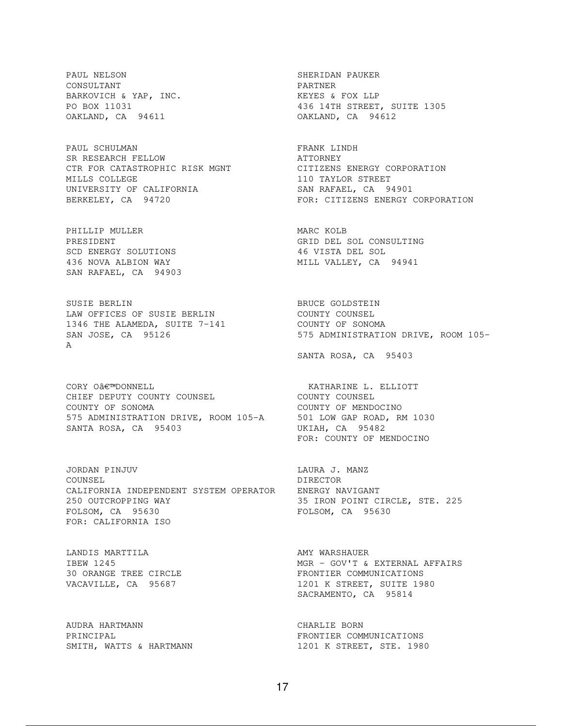PAUL NELSON SHERIDAN PAUKER CONSULTANT PARTNER BARKOVICH & YAP, INC. THE RESERT WAS SERIES A FOX LLP OAKLAND, CA 94611 OAKLAND, CA 94612

PAUL SCHULMAN FRANK LINDH SR RESEARCH FELLOW **ATTORNEY** CTR FOR CATASTROPHIC RISK MGNT CITIZENS ENERGY CORPORATION MILLS COLLEGE 110 TAYLOR STREET UNIVERSITY OF CALIFORNIA SAN RAFAEL, CA 94901

PHILLIP MULLER **MARC KOLB** SCD ENERGY SOLUTIONS SCD ENERGY SOLUTIONS 6 46 VISTA DEL SOL 436 NOVA ALBION WAY 1980 MILL VALLEY, CA SAN RAFAEL, CA 94903

SUSIE BERLIN BRUCE GOLDSTEIN LAW OFFICES OF SUSIE BERLIN COUNTY COUNSEL 1346 THE ALAMEDA, SUITE 7-141 COUNTY OF SONOMA A

CORY O'DONNELL **ELLIOTT** CHIEF DEPUTY COUNTY COUNSEL COUNTY COUNSEL COUNTY OF SONOMA COUNTY OF MENDOCINO 575 ADMINISTRATION DRIVE, ROOM 105-A 501 LOW GAP ROAD, RM 1030 SANTA ROSA, CA 95403 UKIAH, CA 95482

JORDAN PINJUV LAURA J. MANZ COUNSEL DIRECTOR CALIFORNIA INDEPENDENT SYSTEM OPERATOR ENERGY NAVIGANT 250 OUTCROPPING WAY 35 IRON POINT CIRCLE, STE. 225 FOLSOM, CA 95630 FOLSOM, CA 95630 FOR: CALIFORNIA ISO

LANDIS MARTTILA **AMY WARSHAUER** 

AUDRA HARTMANN CHARLIE BORN

BARKOVICH & YAP, INC.<br>
PO BOX 11031 436 14TH STREET, SUITE 1305

BERKELEY, CA 94720 **FOR: CITIZENS ENERGY CORPORATION** 

PRESIDENT GRID DEL SOL CONSULTING

SAN JOSE, CA 95126 575 ADMINISTRATION DRIVE, ROOM 105-

SANTA ROSA, CA 95403

FOR: COUNTY OF MENDOCINO

IBEW 1245<br>
30 ORANGE TREE CIRCLE<br>
VACAVILLE, CA 95687<br>
VACAVILLE, CA 95687<br>
1201 K STREET, SUITE 1980 30 ORANGE TREE CIRCLE FRONTIER COMMUNICATIONS VACAVILLE, CA 95687 1201 K STREET, SUITE 1980 SACRAMENTO, CA 95814

PRINCIPAL FRONTIER COMMUNICATIONS SMITH, WATTS & HARTMANN 1201 K STREET, STE. 1980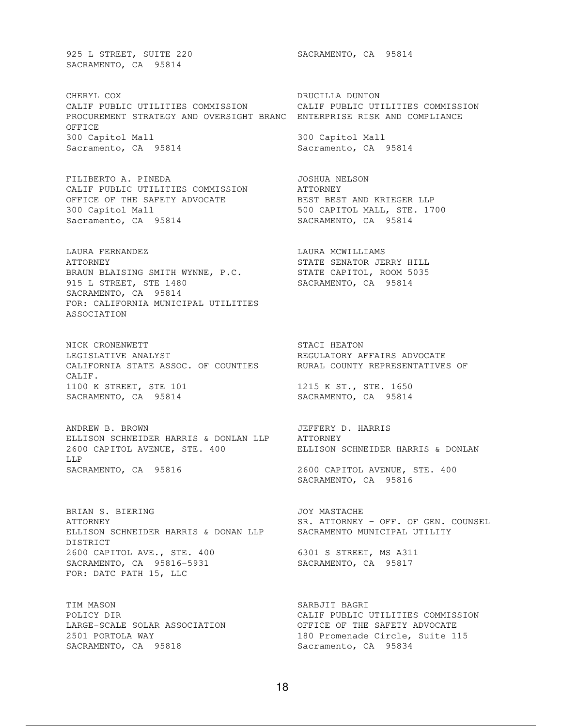925 L STREET, SUITE 220 SACRAMENTO, CA 95814 SACRAMENTO, CA 95814

CHERYL COX **DRUCILLA DUNTON** CALIF PUBLIC UTILITIES COMMISSION CALIF PUBLIC UTILITIES COMMISSION PROCUREMENT STRATEGY AND OVERSIGHT BRANC ENTERPRISE RISK AND COMPLIANCE OFFICE 300 Capitol Mall 300 Capitol Mall Sacramento, CA 95814 Sacramento, CA 95814

FILIBERTO A. PINEDA JOSHUA NELSON CALIF PUBLIC UTILITIES COMMISSION ATTORNEY OFFICE OF THE SAFETY ADVOCATE **BEST BEST AND KRIEGER LLP** OFFICE OF THE SAFETY ADVOCATE BEST BEST AND KRIEGER LLP 300 Capitol Mall, STE. 1700 Sacramento, CA 95814 SACRAMENTO, CA 95814

LAURA FERNANDEZ LAURA MCWILLIAMS ATTORNEY STATE SENATOR JERRY HILL BRAUN BLAISING SMITH WYNNE, P.C. STATE CAPITOL, ROOM 5035 915 L STREET, STE 1480 SACRAMENTO, CA 95814 SACRAMENTO, CA 95814 FOR: CALIFORNIA MUNICIPAL UTILITIES ASSOCIATION

NICK CRONENWETT STACI HEATON LEGISLATIVE ANALYST **REGULATORY AFFAIRS ADVOCATE** CALIFORNIA STATE ASSOC. OF COUNTIES RURAL COUNTY REPRESENTATIVES OF CALIF. 1100 K STREET, STE 101 1215 K ST., STE. 1650 SACRAMENTO, CA 95814 SACRAMENTO, CA 95814

ANDREW B. BROWN JEFFERY D. HARRIS ELLISON SCHNEIDER HARRIS & DONLAN LLP ATTORNEY 2600 CAPITOL AVENUE, STE. 400 ELLISON SCHNEIDER HARRIS & DONLAN LLP SACRAMENTO, CA 95816 2600 CAPITOL AVENUE, STE. 400

BRIAN S. BIERING **S. S. BIERING** S. BOOT MASTACHE ATTORNEY SR. ATTORNEY - OFF. OF GEN. COUNSEL ELLISON SCHNEIDER HARRIS & DONAN LLP SACRAMENTO MUNICIPAL UTILITY DISTRICT 2600 CAPITOL AVE., STE. 400 6301 S STREET, MS A311 SACRAMENTO, CA 95816-5931 SACRAMENTO, CA 95817 FOR: DATC PATH 15, LLC

TIM MASON SARBJIT BAGRI SACRAMENTO, CA 95818 Sacramento, CA 95834

SACRAMENTO, CA 95816

POLICY DIR CALIF PUBLIC UTILITIES COMMISSION LARGE-SCALE SOLAR ASSOCIATION OFFICE OF THE SAFETY ADVOCATE 2501 PORTOLA WAY 180 Promenade Circle, Suite 115